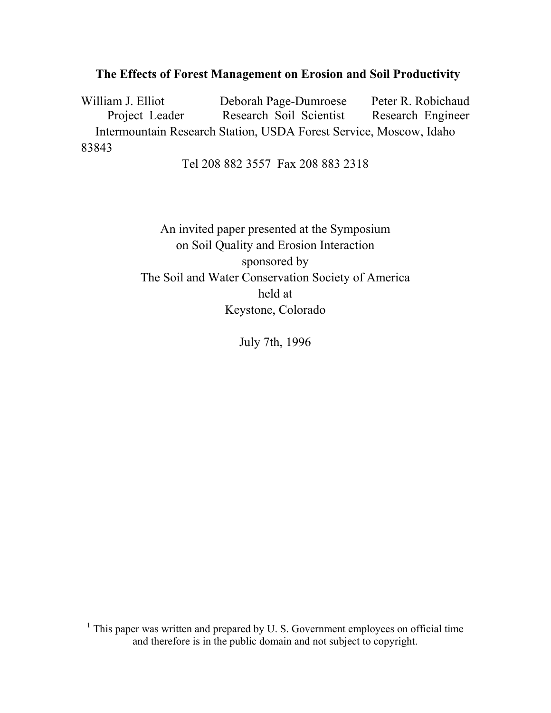## **The Effects of Forest Management on Erosion and Soil Productivity**

William J. Elliot Deborah Page-Dumroese Peter R. Robichaud Project Leader Research Soil Scientist Research Engineer Intermountain Research Station, USDA Forest Service, Moscow, Idaho 83843

Tel 208 882 3557 Fax 208 883 2318

An invited paper presented at the Symposium on Soil Quality and Erosion Interaction sponsored by The Soil and Water Conservation Society of America held at Keystone, Colorado

July 7th, 1996

 $<sup>1</sup>$  This paper was written and prepared by U. S. Government employees on official time</sup> and therefore is in the public domain and not subject to copyright.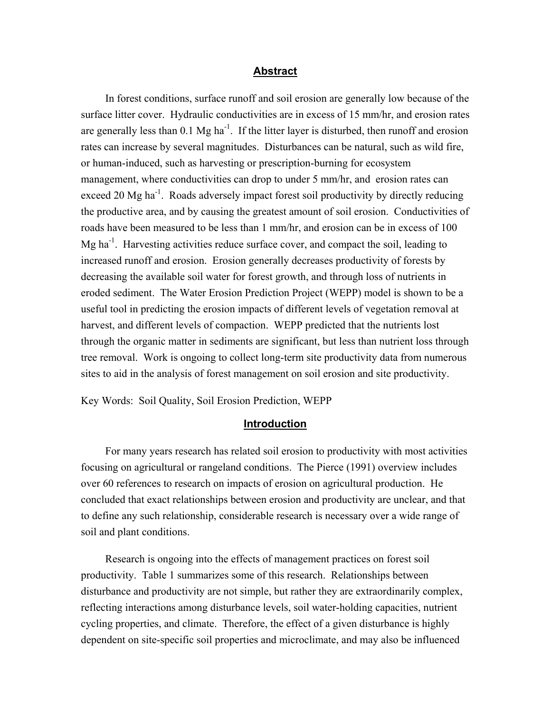#### **Abstract**

In forest conditions, surface runoff and soil erosion are generally low because of the surface litter cover. Hydraulic conductivities are in excess of 15 mm/hr, and erosion rates are generally less than  $0.1 \text{ Mg ha}^{-1}$ . If the litter layer is disturbed, then runoff and erosion rates can increase by several magnitudes. Disturbances can be natural, such as wild fire, or human-induced, such as harvesting or prescription-burning for ecosystem management, where conductivities can drop to under 5 mm/hr, and erosion rates can exceed 20 Mg ha<sup>-1</sup>. Roads adversely impact forest soil productivity by directly reducing the productive area, and by causing the greatest amount of soil erosion. Conductivities of roads have been measured to be less than 1 mm/hr, and erosion can be in excess of 100 Mg ha<sup>-1</sup>. Harvesting activities reduce surface cover, and compact the soil, leading to increased runoff and erosion. Erosion generally decreases productivity of forests by decreasing the available soil water for forest growth, and through loss of nutrients in eroded sediment. The Water Erosion Prediction Project (WEPP) model is shown to be a useful tool in predicting the erosion impacts of different levels of vegetation removal at harvest, and different levels of compaction. WEPP predicted that the nutrients lost through the organic matter in sediments are significant, but less than nutrient loss through tree removal. Work is ongoing to collect long-term site productivity data from numerous sites to aid in the analysis of forest management on soil erosion and site productivity.

Key Words: Soil Quality, Soil Erosion Prediction, WEPP

#### **Introduction**

For many years research has related soil erosion to productivity with most activities focusing on agricultural or rangeland conditions. The Pierce (1991) overview includes over 60 references to research on impacts of erosion on agricultural production. He concluded that exact relationships between erosion and productivity are unclear, and that to define any such relationship, considerable research is necessary over a wide range of soil and plant conditions.

Research is ongoing into the effects of management practices on forest soil productivity. Table 1 summarizes some of this research. Relationships between disturbance and productivity are not simple, but rather they are extraordinarily complex, reflecting interactions among disturbance levels, soil water-holding capacities, nutrient cycling properties, and climate. Therefore, the effect of a given disturbance is highly dependent on site-specific soil properties and microclimate, and may also be influenced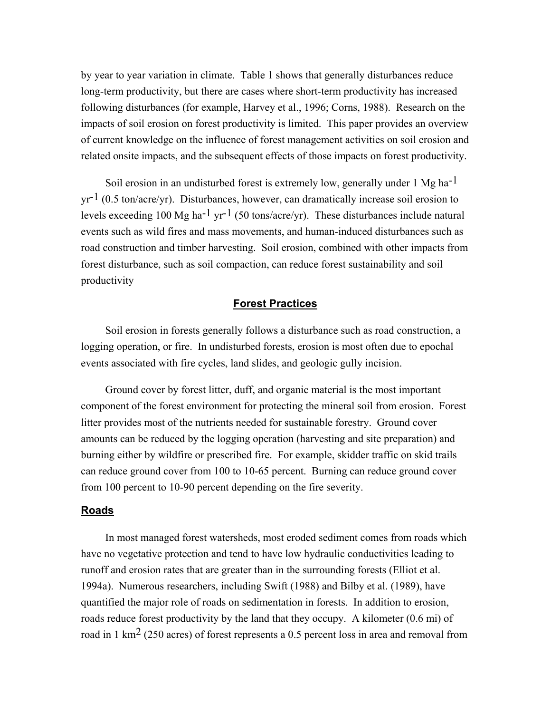by year to year variation in climate. Table 1 shows that generally disturbances reduce long-term productivity, but there are cases where short-term productivity has increased following disturbances (for example, Harvey et al., 1996; Corns, 1988). Research on the impacts of soil erosion on forest productivity is limited. This paper provides an overview of current knowledge on the influence of forest management activities on soil erosion and related onsite impacts, and the subsequent effects of those impacts on forest productivity.

Soil erosion in an undisturbed forest is extremely low, generally under 1 Mg ha<sup>-1</sup>  $yr^{-1}$  (0.5 ton/acre/yr). Disturbances, however, can dramatically increase soil erosion to levels exceeding 100 Mg ha<sup>-1</sup> yr<sup>-1</sup> (50 tons/acre/yr). These disturbances include natural events such as wild fires and mass movements, and human-induced disturbances such as road construction and timber harvesting. Soil erosion, combined with other impacts from forest disturbance, such as soil compaction, can reduce forest sustainability and soil productivity

### **Forest Practices**

Soil erosion in forests generally follows a disturbance such as road construction, a logging operation, or fire. In undisturbed forests, erosion is most often due to epochal events associated with fire cycles, land slides, and geologic gully incision.

Ground cover by forest litter, duff, and organic material is the most important component of the forest environment for protecting the mineral soil from erosion. Forest litter provides most of the nutrients needed for sustainable forestry. Ground cover amounts can be reduced by the logging operation (harvesting and site preparation) and burning either by wildfire or prescribed fire. For example, skidder traffic on skid trails can reduce ground cover from 100 to 10-65 percent. Burning can reduce ground cover from 100 percent to 10-90 percent depending on the fire severity.

#### **Roads**

In most managed forest watersheds, most eroded sediment comes from roads which have no vegetative protection and tend to have low hydraulic conductivities leading to runoff and erosion rates that are greater than in the surrounding forests (Elliot et al. 1994a). Numerous researchers, including Swift (1988) and Bilby et al. (1989), have quantified the major role of roads on sedimentation in forests. In addition to erosion, roads reduce forest productivity by the land that they occupy. A kilometer (0.6 mi) of road in 1 km<sup>2</sup> (250 acres) of forest represents a 0.5 percent loss in area and removal from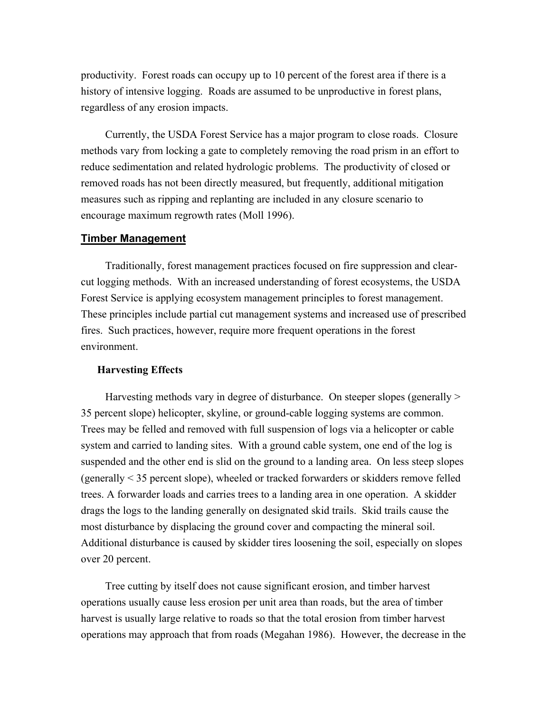productivity. Forest roads can occupy up to 10 percent of the forest area if there is a history of intensive logging. Roads are assumed to be unproductive in forest plans, regardless of any erosion impacts.

Currently, the USDA Forest Service has a major program to close roads. Closure methods vary from locking a gate to completely removing the road prism in an effort to reduce sedimentation and related hydrologic problems. The productivity of closed or removed roads has not been directly measured, but frequently, additional mitigation measures such as ripping and replanting are included in any closure scenario to encourage maximum regrowth rates (Moll 1996).

#### **Timber Management**

Traditionally, forest management practices focused on fire suppression and clearcut logging methods. With an increased understanding of forest ecosystems, the USDA Forest Service is applying ecosystem management principles to forest management. These principles include partial cut management systems and increased use of prescribed fires. Such practices, however, require more frequent operations in the forest environment.

#### **Harvesting Effects**

Harvesting methods vary in degree of disturbance. On steeper slopes (generally > 35 percent slope) helicopter, skyline, or ground-cable logging systems are common. Trees may be felled and removed with full suspension of logs via a helicopter or cable system and carried to landing sites. With a ground cable system, one end of the log is suspended and the other end is slid on the ground to a landing area. On less steep slopes (generally < 35 percent slope), wheeled or tracked forwarders or skidders remove felled trees. A forwarder loads and carries trees to a landing area in one operation. A skidder drags the logs to the landing generally on designated skid trails. Skid trails cause the most disturbance by displacing the ground cover and compacting the mineral soil. Additional disturbance is caused by skidder tires loosening the soil, especially on slopes over 20 percent.

Tree cutting by itself does not cause significant erosion, and timber harvest operations usually cause less erosion per unit area than roads, but the area of timber harvest is usually large relative to roads so that the total erosion from timber harvest operations may approach that from roads (Megahan 1986). However, the decrease in the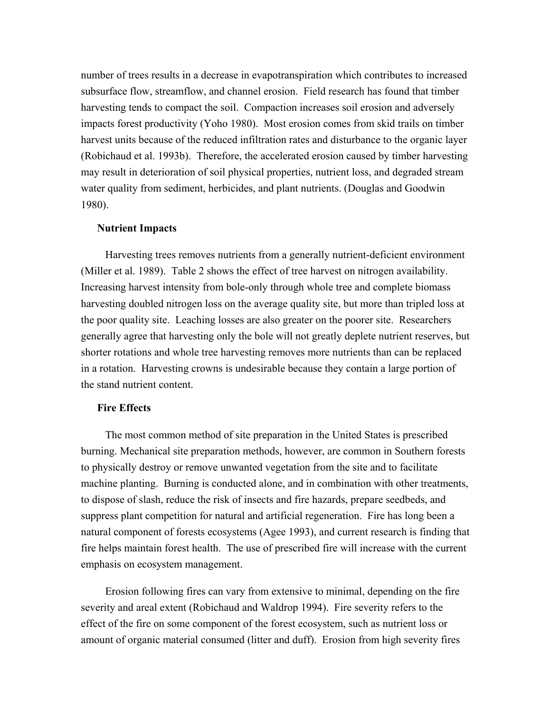number of trees results in a decrease in evapotranspiration which contributes to increased subsurface flow, streamflow, and channel erosion. Field research has found that timber harvesting tends to compact the soil. Compaction increases soil erosion and adversely impacts forest productivity (Yoho 1980). Most erosion comes from skid trails on timber harvest units because of the reduced infiltration rates and disturbance to the organic layer (Robichaud et al. 1993b). Therefore, the accelerated erosion caused by timber harvesting may result in deterioration of soil physical properties, nutrient loss, and degraded stream water quality from sediment, herbicides, and plant nutrients. (Douglas and Goodwin 1980).

#### **Nutrient Impacts**

Harvesting trees removes nutrients from a generally nutrient-deficient environment (Miller et al. 1989). Table 2 shows the effect of tree harvest on nitrogen availability. Increasing harvest intensity from bole-only through whole tree and complete biomass harvesting doubled nitrogen loss on the average quality site, but more than tripled loss at the poor quality site. Leaching losses are also greater on the poorer site. Researchers generally agree that harvesting only the bole will not greatly deplete nutrient reserves, but shorter rotations and whole tree harvesting removes more nutrients than can be replaced in a rotation. Harvesting crowns is undesirable because they contain a large portion of the stand nutrient content.

#### **Fire Effects**

The most common method of site preparation in the United States is prescribed burning. Mechanical site preparation methods, however, are common in Southern forests to physically destroy or remove unwanted vegetation from the site and to facilitate machine planting. Burning is conducted alone, and in combination with other treatments, to dispose of slash, reduce the risk of insects and fire hazards, prepare seedbeds, and suppress plant competition for natural and artificial regeneration. Fire has long been a natural component of forests ecosystems (Agee 1993), and current research is finding that fire helps maintain forest health. The use of prescribed fire will increase with the current emphasis on ecosystem management.

Erosion following fires can vary from extensive to minimal, depending on the fire severity and areal extent (Robichaud and Waldrop 1994). Fire severity refers to the effect of the fire on some component of the forest ecosystem, such as nutrient loss or amount of organic material consumed (litter and duff). Erosion from high severity fires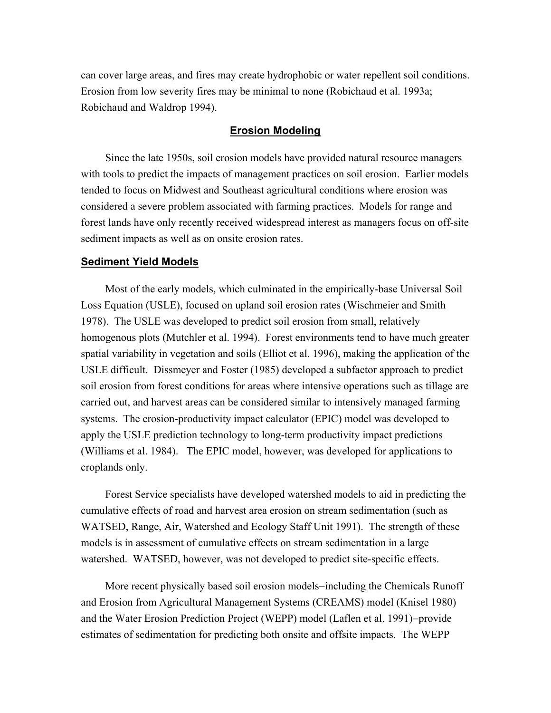can cover large areas, and fires may create hydrophobic or water repellent soil conditions. Erosion from low severity fires may be minimal to none (Robichaud et al. 1993a; Robichaud and Waldrop 1994).

#### **Erosion Modeling**

Since the late 1950s, soil erosion models have provided natural resource managers with tools to predict the impacts of management practices on soil erosion. Earlier models tended to focus on Midwest and Southeast agricultural conditions where erosion was considered a severe problem associated with farming practices. Models for range and forest lands have only recently received widespread interest as managers focus on off-site sediment impacts as well as on onsite erosion rates.

#### **Sediment Yield Models**

Most of the early models, which culminated in the empirically-base Universal Soil Loss Equation (USLE), focused on upland soil erosion rates (Wischmeier and Smith 1978). The USLE was developed to predict soil erosion from small, relatively homogenous plots (Mutchler et al. 1994). Forest environments tend to have much greater spatial variability in vegetation and soils (Elliot et al. 1996), making the application of the USLE difficult. Dissmeyer and Foster (1985) developed a subfactor approach to predict soil erosion from forest conditions for areas where intensive operations such as tillage are carried out, and harvest areas can be considered similar to intensively managed farming systems. The erosion-productivity impact calculator (EPIC) model was developed to apply the USLE prediction technology to long-term productivity impact predictions (Williams et al. 1984). The EPIC model, however, was developed for applications to croplands only.

Forest Service specialists have developed watershed models to aid in predicting the cumulative effects of road and harvest area erosion on stream sedimentation (such as WATSED, Range, Air, Watershed and Ecology Staff Unit 1991). The strength of these models is in assessment of cumulative effects on stream sedimentation in a large watershed. WATSED, however, was not developed to predict site-specific effects.

More recent physically based soil erosion models−including the Chemicals Runoff and Erosion from Agricultural Management Systems (CREAMS) model (Knisel 1980) and the Water Erosion Prediction Project (WEPP) model (Laflen et al. 1991)−provide estimates of sedimentation for predicting both onsite and offsite impacts. The WEPP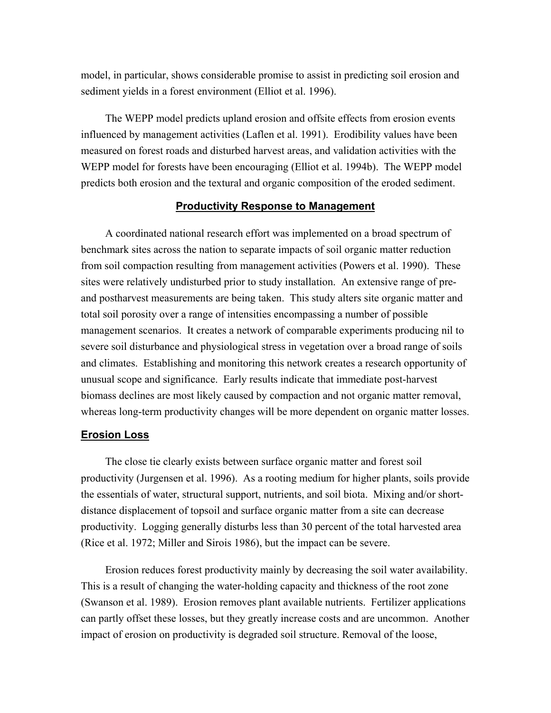model, in particular, shows considerable promise to assist in predicting soil erosion and sediment yields in a forest environment (Elliot et al. 1996).

The WEPP model predicts upland erosion and offsite effects from erosion events influenced by management activities (Laflen et al. 1991). Erodibility values have been measured on forest roads and disturbed harvest areas, and validation activities with the WEPP model for forests have been encouraging (Elliot et al. 1994b). The WEPP model predicts both erosion and the textural and organic composition of the eroded sediment.

#### **Productivity Response to Management**

A coordinated national research effort was implemented on a broad spectrum of benchmark sites across the nation to separate impacts of soil organic matter reduction from soil compaction resulting from management activities (Powers et al. 1990). These sites were relatively undisturbed prior to study installation. An extensive range of preand postharvest measurements are being taken. This study alters site organic matter and total soil porosity over a range of intensities encompassing a number of possible management scenarios. It creates a network of comparable experiments producing nil to severe soil disturbance and physiological stress in vegetation over a broad range of soils and climates. Establishing and monitoring this network creates a research opportunity of unusual scope and significance. Early results indicate that immediate post-harvest biomass declines are most likely caused by compaction and not organic matter removal, whereas long-term productivity changes will be more dependent on organic matter losses.

#### **Erosion Loss**

The close tie clearly exists between surface organic matter and forest soil productivity (Jurgensen et al. 1996). As a rooting medium for higher plants, soils provide the essentials of water, structural support, nutrients, and soil biota. Mixing and/or shortdistance displacement of topsoil and surface organic matter from a site can decrease productivity. Logging generally disturbs less than 30 percent of the total harvested area (Rice et al. 1972; Miller and Sirois 1986), but the impact can be severe.

Erosion reduces forest productivity mainly by decreasing the soil water availability. This is a result of changing the water-holding capacity and thickness of the root zone (Swanson et al. 1989). Erosion removes plant available nutrients. Fertilizer applications can partly offset these losses, but they greatly increase costs and are uncommon. Another impact of erosion on productivity is degraded soil structure. Removal of the loose,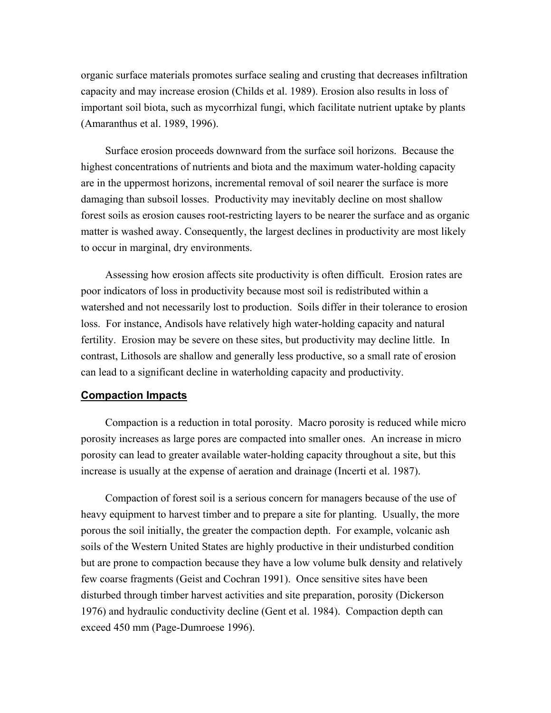organic surface materials promotes surface sealing and crusting that decreases infiltration capacity and may increase erosion (Childs et al. 1989). Erosion also results in loss of important soil biota, such as mycorrhizal fungi, which facilitate nutrient uptake by plants (Amaranthus et al. 1989, 1996).

Surface erosion proceeds downward from the surface soil horizons. Because the highest concentrations of nutrients and biota and the maximum water-holding capacity are in the uppermost horizons, incremental removal of soil nearer the surface is more damaging than subsoil losses. Productivity may inevitably decline on most shallow forest soils as erosion causes root-restricting layers to be nearer the surface and as organic matter is washed away. Consequently, the largest declines in productivity are most likely to occur in marginal, dry environments.

Assessing how erosion affects site productivity is often difficult. Erosion rates are poor indicators of loss in productivity because most soil is redistributed within a watershed and not necessarily lost to production. Soils differ in their tolerance to erosion loss. For instance, Andisols have relatively high water-holding capacity and natural fertility. Erosion may be severe on these sites, but productivity may decline little. In contrast, Lithosols are shallow and generally less productive, so a small rate of erosion can lead to a significant decline in waterholding capacity and productivity.

#### **Compaction Impacts**

Compaction is a reduction in total porosity. Macro porosity is reduced while micro porosity increases as large pores are compacted into smaller ones. An increase in micro porosity can lead to greater available water-holding capacity throughout a site, but this increase is usually at the expense of aeration and drainage (Incerti et al. 1987).

Compaction of forest soil is a serious concern for managers because of the use of heavy equipment to harvest timber and to prepare a site for planting. Usually, the more porous the soil initially, the greater the compaction depth. For example, volcanic ash soils of the Western United States are highly productive in their undisturbed condition but are prone to compaction because they have a low volume bulk density and relatively few coarse fragments (Geist and Cochran 1991). Once sensitive sites have been disturbed through timber harvest activities and site preparation, porosity (Dickerson 1976) and hydraulic conductivity decline (Gent et al. 1984). Compaction depth can exceed 450 mm (Page-Dumroese 1996).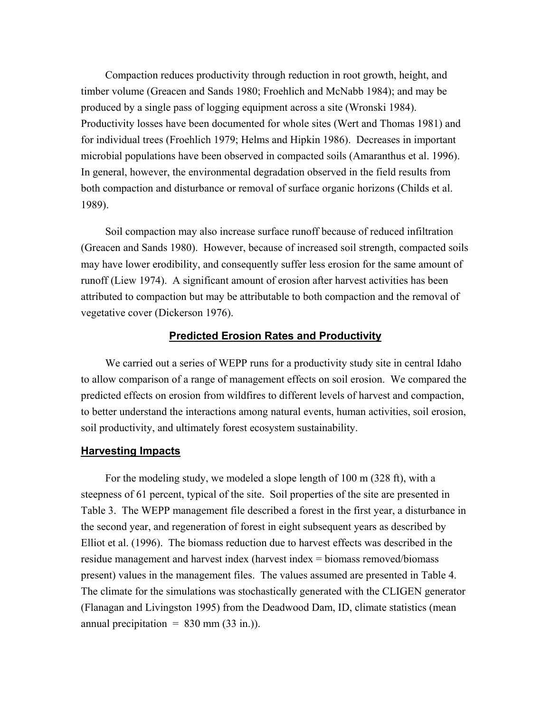Compaction reduces productivity through reduction in root growth, height, and timber volume (Greacen and Sands 1980; Froehlich and McNabb 1984); and may be produced by a single pass of logging equipment across a site (Wronski 1984). Productivity losses have been documented for whole sites (Wert and Thomas 1981) and for individual trees (Froehlich 1979; Helms and Hipkin 1986). Decreases in important microbial populations have been observed in compacted soils (Amaranthus et al. 1996). In general, however, the environmental degradation observed in the field results from both compaction and disturbance or removal of surface organic horizons (Childs et al. 1989).

Soil compaction may also increase surface runoff because of reduced infiltration (Greacen and Sands 1980). However, because of increased soil strength, compacted soils may have lower erodibility, and consequently suffer less erosion for the same amount of runoff (Liew 1974). A significant amount of erosion after harvest activities has been attributed to compaction but may be attributable to both compaction and the removal of vegetative cover (Dickerson 1976).

#### **Predicted Erosion Rates and Productivity**

We carried out a series of WEPP runs for a productivity study site in central Idaho to allow comparison of a range of management effects on soil erosion. We compared the predicted effects on erosion from wildfires to different levels of harvest and compaction, to better understand the interactions among natural events, human activities, soil erosion, soil productivity, and ultimately forest ecosystem sustainability.

#### **Harvesting Impacts**

For the modeling study, we modeled a slope length of 100 m (328 ft), with a steepness of 61 percent, typical of the site. Soil properties of the site are presented in Table 3. The WEPP management file described a forest in the first year, a disturbance in the second year, and regeneration of forest in eight subsequent years as described by Elliot et al. (1996). The biomass reduction due to harvest effects was described in the residue management and harvest index (harvest index = biomass removed/biomass present) values in the management files. The values assumed are presented in Table 4. The climate for the simulations was stochastically generated with the CLIGEN generator (Flanagan and Livingston 1995) from the Deadwood Dam, ID, climate statistics (mean annual precipitation  $= 830$  mm (33 in.)).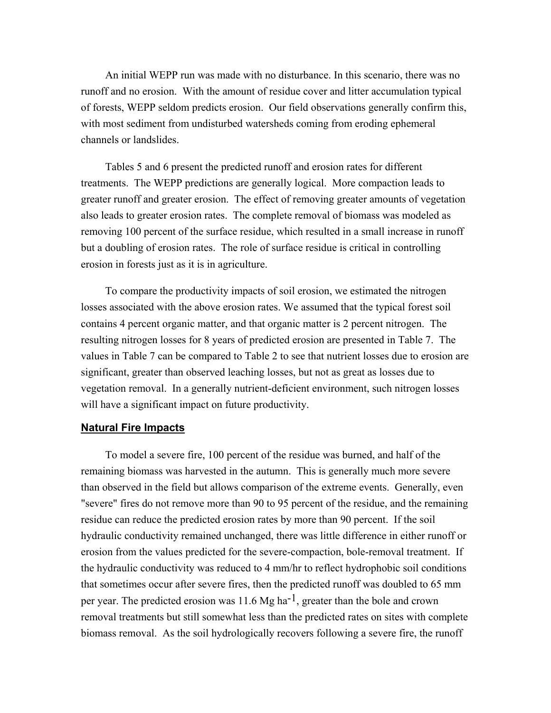An initial WEPP run was made with no disturbance. In this scenario, there was no runoff and no erosion. With the amount of residue cover and litter accumulation typical of forests, WEPP seldom predicts erosion. Our field observations generally confirm this, with most sediment from undisturbed watersheds coming from eroding ephemeral channels or landslides.

Tables 5 and 6 present the predicted runoff and erosion rates for different treatments. The WEPP predictions are generally logical. More compaction leads to greater runoff and greater erosion. The effect of removing greater amounts of vegetation also leads to greater erosion rates. The complete removal of biomass was modeled as removing 100 percent of the surface residue, which resulted in a small increase in runoff but a doubling of erosion rates. The role of surface residue is critical in controlling erosion in forests just as it is in agriculture.

To compare the productivity impacts of soil erosion, we estimated the nitrogen losses associated with the above erosion rates. We assumed that the typical forest soil contains 4 percent organic matter, and that organic matter is 2 percent nitrogen. The resulting nitrogen losses for 8 years of predicted erosion are presented in Table 7. The values in Table 7 can be compared to Table 2 to see that nutrient losses due to erosion are significant, greater than observed leaching losses, but not as great as losses due to vegetation removal. In a generally nutrient-deficient environment, such nitrogen losses will have a significant impact on future productivity.

#### **Natural Fire Impacts**

To model a severe fire, 100 percent of the residue was burned, and half of the remaining biomass was harvested in the autumn. This is generally much more severe than observed in the field but allows comparison of the extreme events. Generally, even "severe" fires do not remove more than 90 to 95 percent of the residue, and the remaining residue can reduce the predicted erosion rates by more than 90 percent. If the soil hydraulic conductivity remained unchanged, there was little difference in either runoff or erosion from the values predicted for the severe-compaction, bole-removal treatment. If the hydraulic conductivity was reduced to 4 mm/hr to reflect hydrophobic soil conditions that sometimes occur after severe fires, then the predicted runoff was doubled to 65 mm per year. The predicted erosion was 11.6 Mg ha<sup>-1</sup>, greater than the bole and crown removal treatments but still somewhat less than the predicted rates on sites with complete biomass removal. As the soil hydrologically recovers following a severe fire, the runoff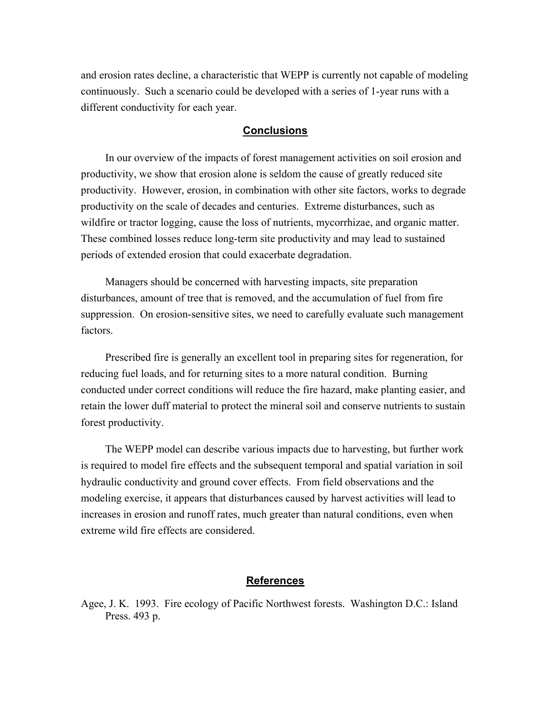and erosion rates decline, a characteristic that WEPP is currently not capable of modeling continuously. Such a scenario could be developed with a series of 1-year runs with a different conductivity for each year.

#### **Conclusions**

In our overview of the impacts of forest management activities on soil erosion and productivity, we show that erosion alone is seldom the cause of greatly reduced site productivity. However, erosion, in combination with other site factors, works to degrade productivity on the scale of decades and centuries. Extreme disturbances, such as wildfire or tractor logging, cause the loss of nutrients, mycorrhizae, and organic matter. These combined losses reduce long-term site productivity and may lead to sustained periods of extended erosion that could exacerbate degradation.

Managers should be concerned with harvesting impacts, site preparation disturbances, amount of tree that is removed, and the accumulation of fuel from fire suppression. On erosion-sensitive sites, we need to carefully evaluate such management factors.

Prescribed fire is generally an excellent tool in preparing sites for regeneration, for reducing fuel loads, and for returning sites to a more natural condition. Burning conducted under correct conditions will reduce the fire hazard, make planting easier, and retain the lower duff material to protect the mineral soil and conserve nutrients to sustain forest productivity.

The WEPP model can describe various impacts due to harvesting, but further work is required to model fire effects and the subsequent temporal and spatial variation in soil hydraulic conductivity and ground cover effects. From field observations and the modeling exercise, it appears that disturbances caused by harvest activities will lead to increases in erosion and runoff rates, much greater than natural conditions, even when extreme wild fire effects are considered.

#### **References**

Agee, J. K. 1993. Fire ecology of Pacific Northwest forests. Washington D.C.: Island Press. 493 p.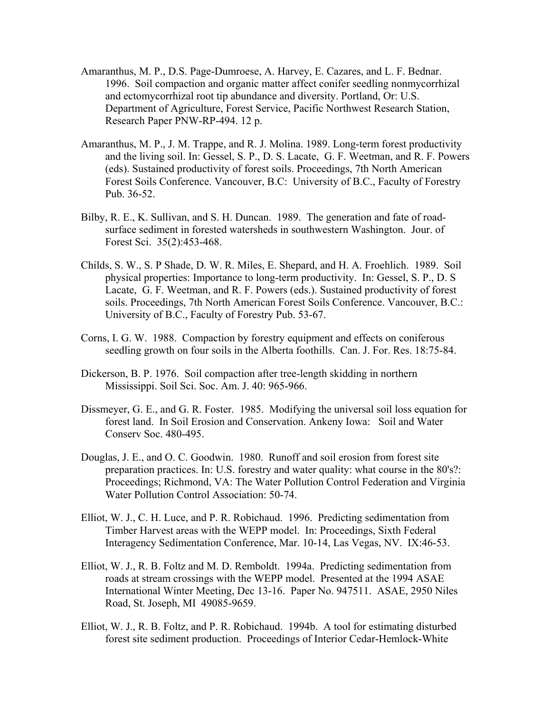- Amaranthus, M. P., D.S. Page-Dumroese, A. Harvey, E. Cazares, and L. F. Bednar. 1996. Soil compaction and organic matter affect conifer seedling nonmycorrhizal and ectomycorrhizal root tip abundance and diversity. Portland, Or: U.S. Department of Agriculture, Forest Service, Pacific Northwest Research Station, Research Paper PNW-RP-494. 12 p.
- Amaranthus, M. P., J. M. Trappe, and R. J. Molina. 1989. Long-term forest productivity and the living soil. In: Gessel, S. P., D. S. Lacate, G. F. Weetman, and R. F. Powers (eds). Sustained productivity of forest soils. Proceedings, 7th North American Forest Soils Conference. Vancouver, B.C: University of B.C., Faculty of Forestry Pub. 36-52.
- Bilby, R. E., K. Sullivan, and S. H. Duncan. 1989. The generation and fate of roadsurface sediment in forested watersheds in southwestern Washington. Jour. of Forest Sci. 35(2):453-468.
- Childs, S. W., S. P Shade, D. W. R. Miles, E. Shepard, and H. A. Froehlich. 1989. Soil physical properties: Importance to long-term productivity. In: Gessel, S. P., D. S Lacate, G. F. Weetman, and R. F. Powers (eds.). Sustained productivity of forest soils. Proceedings, 7th North American Forest Soils Conference. Vancouver, B.C.: University of B.C., Faculty of Forestry Pub. 53-67.
- Corns, I. G. W. 1988. Compaction by forestry equipment and effects on coniferous seedling growth on four soils in the Alberta foothills. Can. J. For. Res. 18:75-84.
- Dickerson, B. P. 1976. Soil compaction after tree-length skidding in northern Mississippi. Soil Sci. Soc. Am. J. 40: 965-966.
- Dissmeyer, G. E., and G. R. Foster. 1985. Modifying the universal soil loss equation for forest land. In Soil Erosion and Conservation. Ankeny Iowa: Soil and Water Conserv Soc. 480-495.
- Douglas, J. E., and O. C. Goodwin. 1980. Runoff and soil erosion from forest site preparation practices. In: U.S. forestry and water quality: what course in the 80's?: Proceedings; Richmond, VA: The Water Pollution Control Federation and Virginia Water Pollution Control Association: 50-74.
- Elliot, W. J., C. H. Luce, and P. R. Robichaud. 1996. Predicting sedimentation from Timber Harvest areas with the WEPP model. In: Proceedings, Sixth Federal Interagency Sedimentation Conference, Mar. 10-14, Las Vegas, NV. IX:46-53.
- Elliot, W. J., R. B. Foltz and M. D. Remboldt. 1994a. Predicting sedimentation from roads at stream crossings with the WEPP model. Presented at the 1994 ASAE International Winter Meeting, Dec 13-16. Paper No. 947511. ASAE, 2950 Niles Road, St. Joseph, MI 49085-9659.
- Elliot, W. J., R. B. Foltz, and P. R. Robichaud. 1994b. A tool for estimating disturbed forest site sediment production. Proceedings of Interior Cedar-Hemlock-White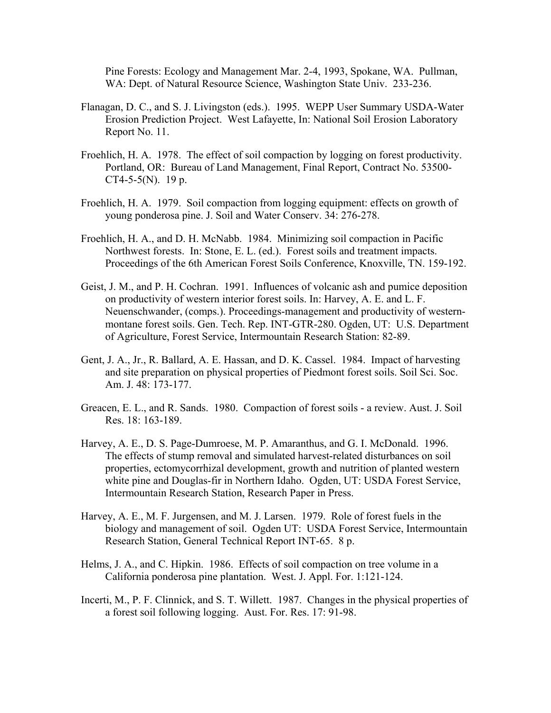Pine Forests: Ecology and Management Mar. 2-4, 1993, Spokane, WA. Pullman, WA: Dept. of Natural Resource Science, Washington State Univ. 233-236.

- Flanagan, D. C., and S. J. Livingston (eds.). 1995. WEPP User Summary USDA-Water Erosion Prediction Project. West Lafayette, In: National Soil Erosion Laboratory Report No. 11.
- Froehlich, H. A. 1978. The effect of soil compaction by logging on forest productivity. Portland, OR: Bureau of Land Management, Final Report, Contract No. 53500- CT4-5-5(N). 19 p.
- Froehlich, H. A. 1979. Soil compaction from logging equipment: effects on growth of young ponderosa pine. J. Soil and Water Conserv. 34: 276-278.
- Froehlich, H. A., and D. H. McNabb. 1984. Minimizing soil compaction in Pacific Northwest forests. In: Stone, E. L. (ed.). Forest soils and treatment impacts. Proceedings of the 6th American Forest Soils Conference, Knoxville, TN. 159-192.
- Geist, J. M., and P. H. Cochran. 1991. Influences of volcanic ash and pumice deposition on productivity of western interior forest soils. In: Harvey, A. E. and L. F. Neuenschwander, (comps.). Proceedings-management and productivity of westernmontane forest soils. Gen. Tech. Rep. INT-GTR-280. Ogden, UT: U.S. Department of Agriculture, Forest Service, Intermountain Research Station: 82-89.
- Gent, J. A., Jr., R. Ballard, A. E. Hassan, and D. K. Cassel. 1984. Impact of harvesting and site preparation on physical properties of Piedmont forest soils. Soil Sci. Soc. Am. J. 48: 173-177.
- Greacen, E. L., and R. Sands. 1980. Compaction of forest soils a review. Aust. J. Soil Res. 18: 163-189.
- Harvey, A. E., D. S. Page-Dumroese, M. P. Amaranthus, and G. I. McDonald. 1996. The effects of stump removal and simulated harvest-related disturbances on soil properties, ectomycorrhizal development, growth and nutrition of planted western white pine and Douglas-fir in Northern Idaho. Ogden, UT: USDA Forest Service, Intermountain Research Station, Research Paper in Press.
- Harvey, A. E., M. F. Jurgensen, and M. J. Larsen. 1979. Role of forest fuels in the biology and management of soil. Ogden UT: USDA Forest Service, Intermountain Research Station, General Technical Report INT-65. 8 p.
- Helms, J. A., and C. Hipkin. 1986. Effects of soil compaction on tree volume in a California ponderosa pine plantation. West. J. Appl. For. 1:121-124.
- Incerti, M., P. F. Clinnick, and S. T. Willett. 1987. Changes in the physical properties of a forest soil following logging. Aust. For. Res. 17: 91-98.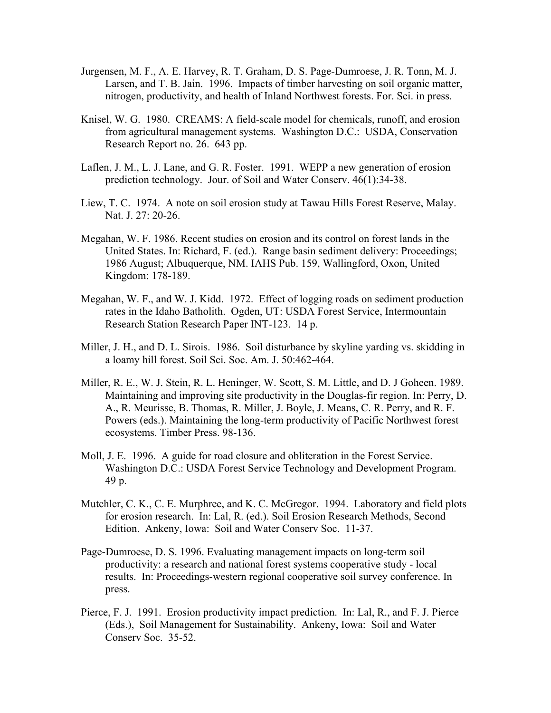- Jurgensen, M. F., A. E. Harvey, R. T. Graham, D. S. Page-Dumroese, J. R. Tonn, M. J. Larsen, and T. B. Jain. 1996. Impacts of timber harvesting on soil organic matter, nitrogen, productivity, and health of Inland Northwest forests. For. Sci. in press.
- Knisel, W. G. 1980. CREAMS: A field-scale model for chemicals, runoff, and erosion from agricultural management systems. Washington D.C.: USDA, Conservation Research Report no. 26. 643 pp.
- Laflen, J. M., L. J. Lane, and G. R. Foster. 1991. WEPP a new generation of erosion prediction technology. Jour. of Soil and Water Conserv. 46(1):34-38.
- Liew, T. C. 1974. A note on soil erosion study at Tawau Hills Forest Reserve, Malay. Nat. J. 27: 20-26.
- Megahan, W. F. 1986. Recent studies on erosion and its control on forest lands in the United States. In: Richard, F. (ed.). Range basin sediment delivery: Proceedings; 1986 August; Albuquerque, NM. IAHS Pub. 159, Wallingford, Oxon, United Kingdom: 178-189.
- Megahan, W. F., and W. J. Kidd. 1972. Effect of logging roads on sediment production rates in the Idaho Batholith. Ogden, UT: USDA Forest Service, Intermountain Research Station Research Paper INT-123. 14 p.
- Miller, J. H., and D. L. Sirois. 1986. Soil disturbance by skyline yarding vs. skidding in a loamy hill forest. Soil Sci. Soc. Am. J. 50:462-464.
- Miller, R. E., W. J. Stein, R. L. Heninger, W. Scott, S. M. Little, and D. J Goheen. 1989. Maintaining and improving site productivity in the Douglas-fir region. In: Perry, D. A., R. Meurisse, B. Thomas, R. Miller, J. Boyle, J. Means, C. R. Perry, and R. F. Powers (eds.). Maintaining the long-term productivity of Pacific Northwest forest ecosystems. Timber Press. 98-136.
- Moll, J. E. 1996. A guide for road closure and obliteration in the Forest Service. Washington D.C.: USDA Forest Service Technology and Development Program. 49 p.
- Mutchler, C. K., C. E. Murphree, and K. C. McGregor. 1994. Laboratory and field plots for erosion research. In: Lal, R. (ed.). Soil Erosion Research Methods, Second Edition. Ankeny, Iowa: Soil and Water Conserv Soc. 11-37.
- Page-Dumroese, D. S. 1996. Evaluating management impacts on long-term soil productivity: a research and national forest systems cooperative study - local results. In: Proceedings-western regional cooperative soil survey conference. In press.
- Pierce, F. J. 1991. Erosion productivity impact prediction. In: Lal, R., and F. J. Pierce (Eds.), Soil Management for Sustainability. Ankeny, Iowa: Soil and Water Conserv Soc. 35-52.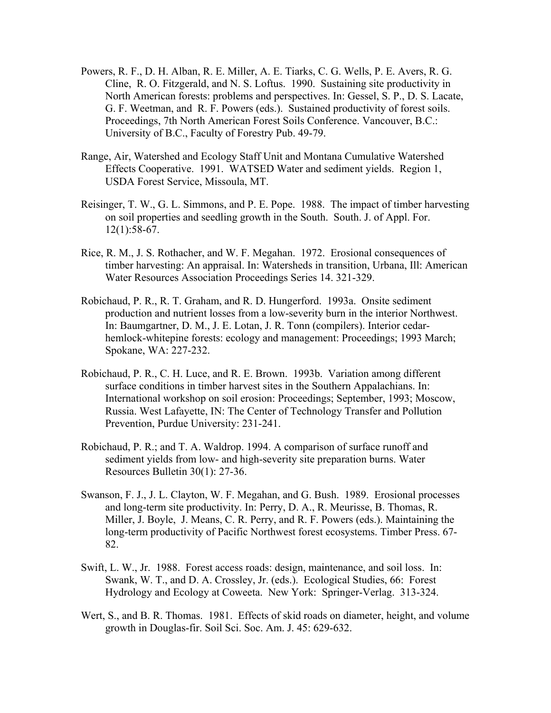- Powers, R. F., D. H. Alban, R. E. Miller, A. E. Tiarks, C. G. Wells, P. E. Avers, R. G. Cline, R. O. Fitzgerald, and N. S. Loftus. 1990. Sustaining site productivity in North American forests: problems and perspectives. In: Gessel, S. P., D. S. Lacate, G. F. Weetman, and R. F. Powers (eds.). Sustained productivity of forest soils. Proceedings, 7th North American Forest Soils Conference. Vancouver, B.C.: University of B.C., Faculty of Forestry Pub. 49-79.
- Range, Air, Watershed and Ecology Staff Unit and Montana Cumulative Watershed Effects Cooperative. 1991. WATSED Water and sediment yields. Region 1, USDA Forest Service, Missoula, MT.
- Reisinger, T. W., G. L. Simmons, and P. E. Pope. 1988. The impact of timber harvesting on soil properties and seedling growth in the South. South. J. of Appl. For. 12(1):58-67.
- Rice, R. M., J. S. Rothacher, and W. F. Megahan. 1972. Erosional consequences of timber harvesting: An appraisal. In: Watersheds in transition, Urbana, Ill: American Water Resources Association Proceedings Series 14. 321-329.
- Robichaud, P. R., R. T. Graham, and R. D. Hungerford. 1993a. Onsite sediment production and nutrient losses from a low-severity burn in the interior Northwest. In: Baumgartner, D. M., J. E. Lotan, J. R. Tonn (compilers). Interior cedarhemlock-whitepine forests: ecology and management: Proceedings; 1993 March; Spokane, WA: 227-232.
- Robichaud, P. R., C. H. Luce, and R. E. Brown. 1993b. Variation among different surface conditions in timber harvest sites in the Southern Appalachians. In: International workshop on soil erosion: Proceedings; September, 1993; Moscow, Russia. West Lafayette, IN: The Center of Technology Transfer and Pollution Prevention, Purdue University: 231-241.
- Robichaud, P. R.; and T. A. Waldrop. 1994. A comparison of surface runoff and sediment yields from low- and high-severity site preparation burns. Water Resources Bulletin 30(1): 27-36.
- Swanson, F. J., J. L. Clayton, W. F. Megahan, and G. Bush. 1989. Erosional processes and long-term site productivity. In: Perry, D. A., R. Meurisse, B. Thomas, R. Miller, J. Boyle, J. Means, C. R. Perry, and R. F. Powers (eds.). Maintaining the long-term productivity of Pacific Northwest forest ecosystems. Timber Press. 67- 82.
- Swift, L. W., Jr. 1988. Forest access roads: design, maintenance, and soil loss. In: Swank, W. T., and D. A. Crossley, Jr. (eds.). Ecological Studies, 66: Forest Hydrology and Ecology at Coweeta. New York: Springer-Verlag. 313-324.
- Wert, S., and B. R. Thomas. 1981. Effects of skid roads on diameter, height, and volume growth in Douglas-fir. Soil Sci. Soc. Am. J. 45: 629-632.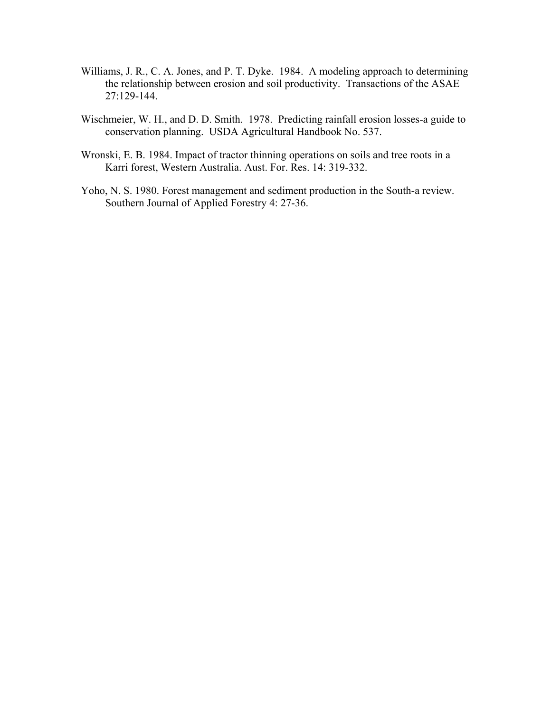- Williams, J. R., C. A. Jones, and P. T. Dyke. 1984. A modeling approach to determining the relationship between erosion and soil productivity. Transactions of the ASAE 27:129-144.
- Wischmeier, W. H., and D. D. Smith. 1978. Predicting rainfall erosion losses-a guide to conservation planning. USDA Agricultural Handbook No. 537.
- Wronski, E. B. 1984. Impact of tractor thinning operations on soils and tree roots in a Karri forest, Western Australia. Aust. For. Res. 14: 319-332.
- Yoho, N. S. 1980. Forest management and sediment production in the South-a review. Southern Journal of Applied Forestry 4: 27-36.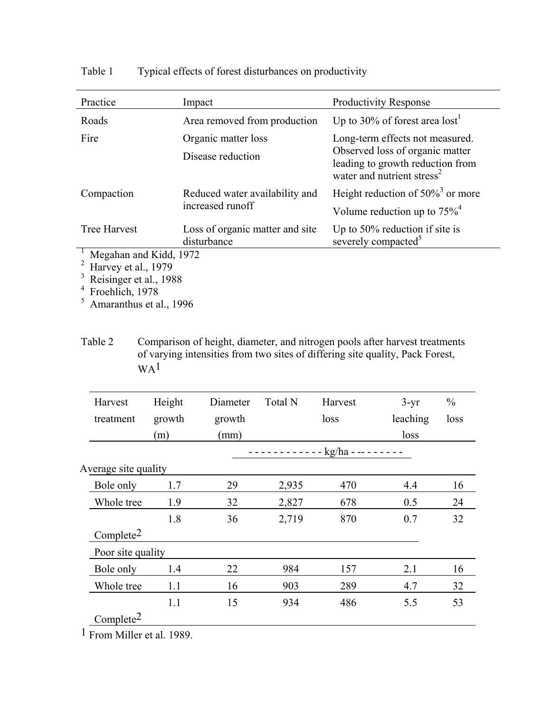| Practice                | Impact                                             | <b>Productivity Response</b>                                               |  |  |
|-------------------------|----------------------------------------------------|----------------------------------------------------------------------------|--|--|
| Roads                   | Area removed from production                       | Up to 30% of forest area lost <sup>1</sup>                                 |  |  |
| Fire                    | Organic matter loss                                | Long-term effects not measured.<br>Observed loss of organic matter         |  |  |
|                         | Disease reduction                                  | leading to growth reduction from<br>water and nutrient stress <sup>2</sup> |  |  |
| Compaction              | Reduced water availability and<br>increased runoff | Height reduction of $50\%$ <sup>3</sup> or more                            |  |  |
|                         |                                                    | Volume reduction up to $75\%$ <sup>4</sup>                                 |  |  |
| <b>Tree Harvest</b>     | Loss of organic matter and site<br>disturbance     | Up to $50\%$ reduction if site is<br>severely compacted <sup>5</sup>       |  |  |
| Megahan and Kidd, 1972  |                                                    |                                                                            |  |  |
| Harvey et al., 1979     |                                                    |                                                                            |  |  |
| Reisinger et al., 1988  |                                                    |                                                                            |  |  |
| Froehlich, 1978         |                                                    |                                                                            |  |  |
| Amaranthus et al., 1996 |                                                    |                                                                            |  |  |

Table 1 Typical effects of forest disturbances on productivity

Table 2 Comparison of height, diameter, and nitrogen pools after harvest treatments of varying intensities from two sites of differing site quality, Pack Forest, WA1

| Harvest               | Height | Diameter | Total N | Harvest          | $3 - yr$ | $\frac{0}{0}$ |
|-----------------------|--------|----------|---------|------------------|----------|---------------|
| treatment             | growth | growth   |         | loss             | leaching | loss          |
|                       | (m)    | (mm)     |         |                  | loss     |               |
|                       |        |          |         | $---kg/ha------$ |          |               |
| Average site quality  |        |          |         |                  |          |               |
| Bole only             | 1.7    | 29       | 2,935   | 470              | 4.4      | 16            |
| Whole tree            | 1.9    | 32       | 2,827   | 678              | 0.5      | 24            |
|                       | 1.8    | 36       | 2,719   | 870              | 0.7      | 32            |
| Complete <sup>2</sup> |        |          |         |                  |          |               |
| Poor site quality     |        |          |         |                  |          |               |
| Bole only             | 1.4    | 22       | 984     | 157              | 2.1      | 16            |
| Whole tree            | 1.1    | 16       | 903     | 289              | 4.7      | 32            |
|                       | 1.1    | 15       | 934     | 486              | 5.5      | 53            |
| Complete <sup>2</sup> |        |          |         |                  |          |               |

1 From Miller et al. 1989.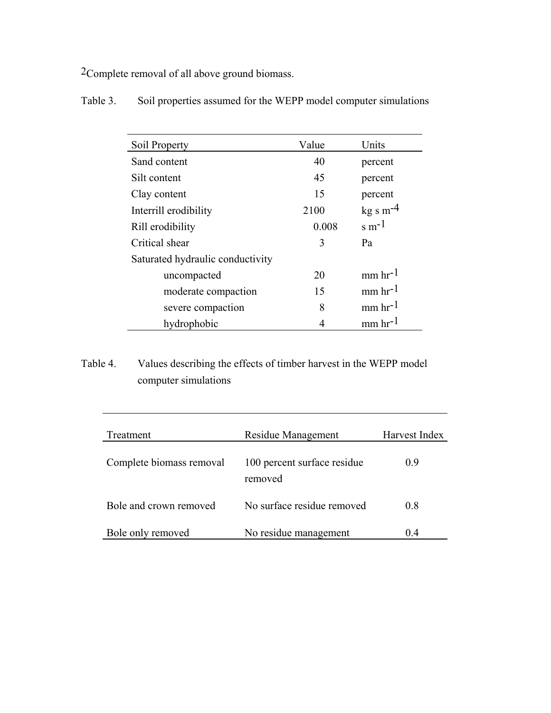2Complete removal of all above ground biomass.

| Soil Property                    | Value | Units                 |
|----------------------------------|-------|-----------------------|
| Sand content                     | 40    | percent               |
| Silt content                     | 45    | percent               |
| Clay content                     | 15    | percent               |
| Interrill erodibility            | 2100  | $kg s m-4$            |
| Rill erodibility                 | 0.008 | $\rm s~m^{-1}$        |
| Critical shear                   | 3     | Pa                    |
| Saturated hydraulic conductivity |       |                       |
| uncompacted                      | 20    | $mm$ hr <sup>-1</sup> |
| moderate compaction              | 15    | $mm$ hr <sup>-1</sup> |
| severe compaction                | 8     | $mm$ hr <sup>-1</sup> |
| hydrophobic                      |       | $mm$ hr <sup>-1</sup> |

Table 3. Soil properties assumed for the WEPP model computer simulations

# Table 4. Values describing the effects of timber harvest in the WEPP model computer simulations

| Treatment                | Residue Management                     | Harvest Index |
|--------------------------|----------------------------------------|---------------|
| Complete biomass removal | 100 percent surface residue<br>removed | 09            |
| Bole and crown removed   | No surface residue removed             | 0.8           |
| Bole only removed        | No residue management                  | (14)          |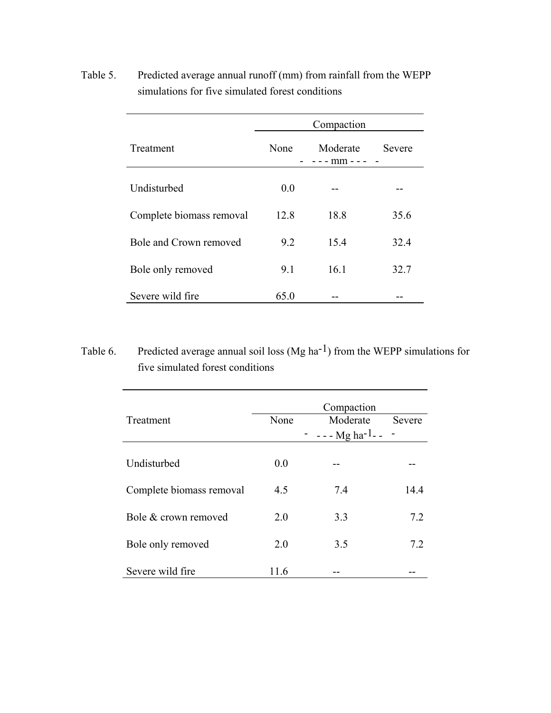|                          | Compaction |                    |        |  |
|--------------------------|------------|--------------------|--------|--|
| Treatment                | None       | Moderate<br>- mm - | Severe |  |
| Undisturbed              | 0.0        |                    |        |  |
| Complete biomass removal | 12.8       | 18.8               | 35.6   |  |
| Bole and Crown removed   | 9.2        | 15.4               | 32.4   |  |
| Bole only removed        | 9.1        | 16.1               | 32.7   |  |
| Severe wild fire         | 65.0       |                    |        |  |

Table 5. Predicted average annual runoff (mm) from rainfall from the WEPP simulations for five simulated forest conditions

Table 6. Predicted average annual soil loss  $(Mg ha^{-1})$  from the WEPP simulations for five simulated forest conditions

| Treatment                | None | Compaction<br>Moderate<br>$- - - Mg$ ha <sup>-1</sup> -- | Severe |
|--------------------------|------|----------------------------------------------------------|--------|
|                          |      |                                                          |        |
| Undisturbed              | 0.0  |                                                          |        |
| Complete biomass removal | 4.5  | 7.4                                                      | 14.4   |
|                          |      |                                                          |        |
| Bole & crown removed     | 2.0  | 3.3                                                      | 7.2    |
|                          |      |                                                          |        |
| Bole only removed        | 2.0  | 3.5                                                      | 7.2    |
|                          |      |                                                          |        |
| Severe wild fire         | 11.6 |                                                          |        |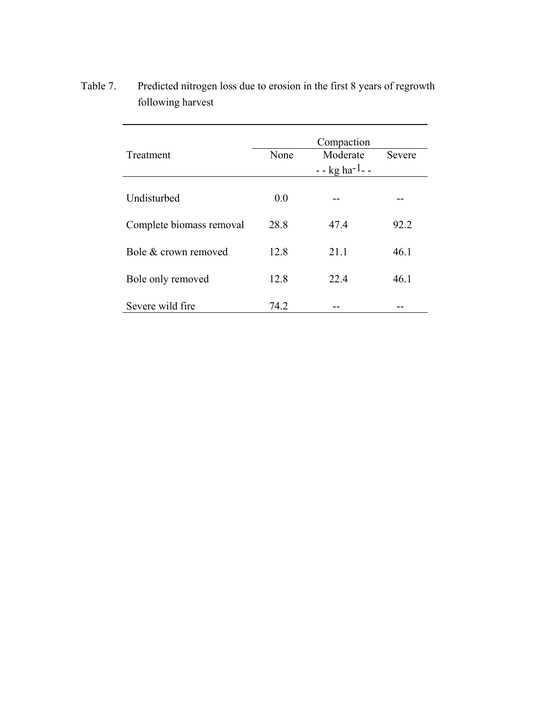| Treatment                | None | Compaction<br>Moderate<br>$-$ - kg ha <sup>-1</sup> - - | Severe |
|--------------------------|------|---------------------------------------------------------|--------|
| Undisturbed              | 0.0  |                                                         |        |
| Complete biomass removal | 28.8 | 47.4                                                    | 92.2   |
| Bole & crown removed     | 12.8 | 21.1                                                    | 46.1   |
| Bole only removed        | 12.8 | 22.4                                                    | 46.1   |
| Severe wild fire         | 74.2 |                                                         |        |

Table 7. Predicted nitrogen loss due to erosion in the first 8 years of regrowth following harvest